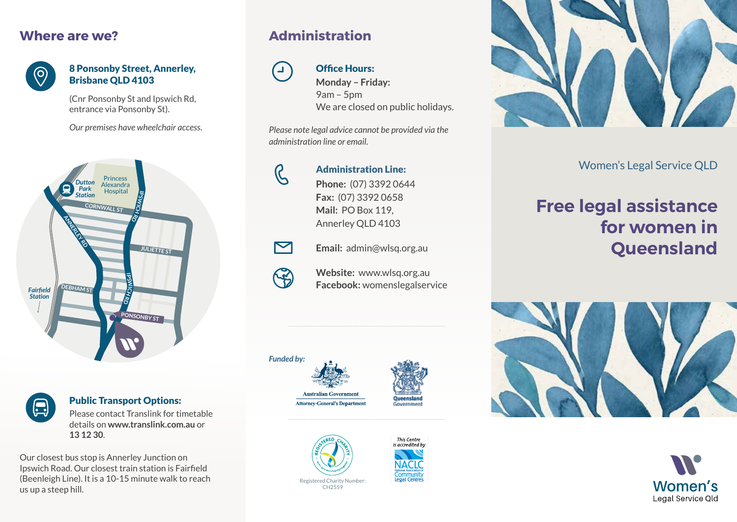### **Where are we?**



#### 8 Ponsonby Street, Annerley, Brisbane QLD 4103

(Cnr Ponsonby St and Ipswich Rd, entrance via Ponsonby St).

*Our premises have wheelchair access.*



 $\left(\begin{smallmatrix}\hline \ \ \hline \ \ \hline \ \ \hline \ \end{smallmatrix}\right)$ 

#### Public Transport Options:

Please contact Translink for timetable details on **www.translink.com.au** or **13 12 30**.

Our closest bus stop is Annerley Junction on Ipswich Road. Our closest train station is Fairfield (Beenleigh Line). It is a 10-15 minute walk to reach us up a steep hill.

## **Administration**



#### Office Hours:

**Monday – Friday:**  9am – 5pm We are closed on public holidays.

*Please note legal advice cannot be provided via the administration line or email.*



#### Administration Line:

**Phone:** (07) 3392 0644 **Fax:** (07) 3392 0658 **Mail:** PO Box 119, Annerley QLD 4103





 $\boldsymbol{\nabla}$ 

**Website:** www.wlsq.org.au **Facebook:** womenslegalservice











Women's Legal Service QLD

# **Free legal assistance for women in Queensland**